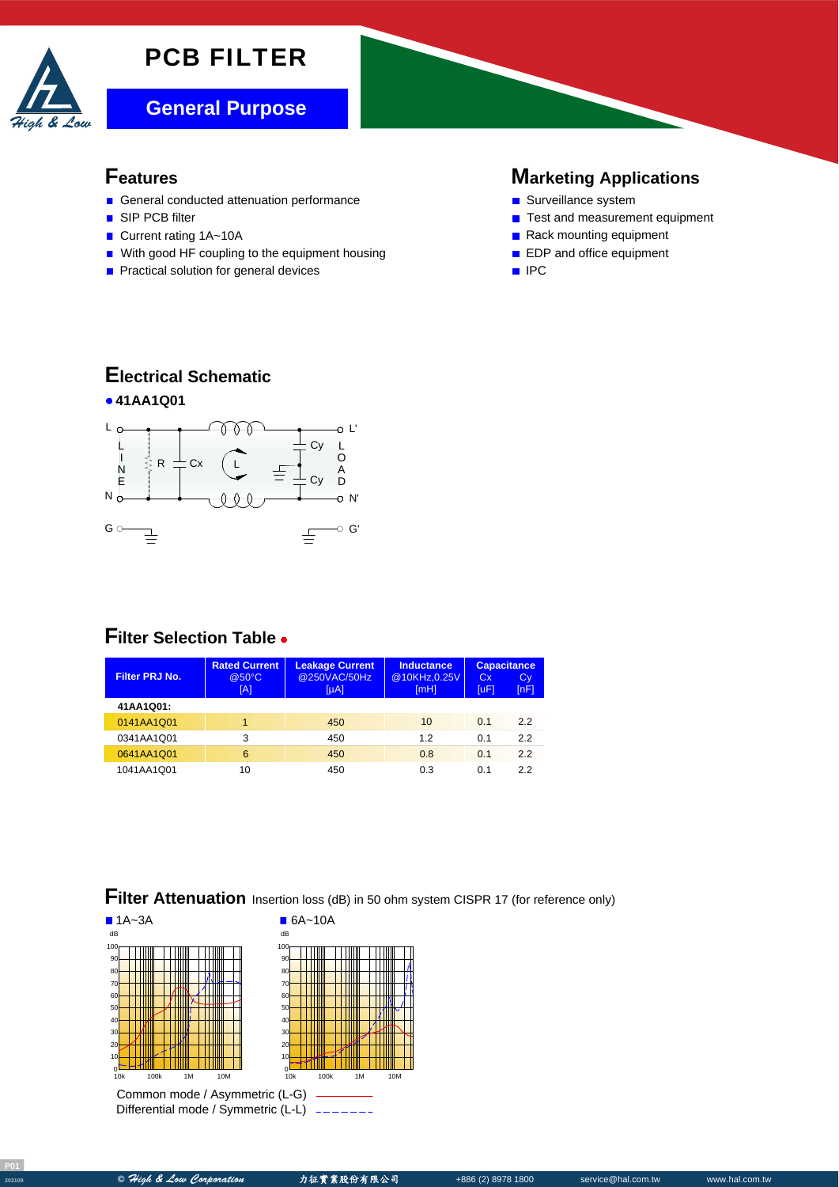## PCB FILTER



#### **Features**

- General conducted attenuation performance
- SIP PCB filter
- Current rating 1A~10A
- With good HF coupling to the equipment housing
- **Practical solution for general devices**

#### **Marketing Applications**

- Surveillance system
- Test and measurement equipment
- Rack mounting equipment
- **EDP** and office equipment
- IPC

### **Electrical Schematic**



### **Filter Selection Table**

| Filter PRJ No. | <b>Rated Current</b><br>@50°C<br>[A] | <b>Leakage Current</b><br>@250VAC/50Hz<br>$[\mu A]$ | Inductance<br>@10KHz,0.25V<br>[mH] | C <sub>X</sub><br>[uF] | <b>Capacitance</b><br>Cy<br>[nF] |
|----------------|--------------------------------------|-----------------------------------------------------|------------------------------------|------------------------|----------------------------------|
| 41AA1Q01:      |                                      |                                                     |                                    |                        |                                  |
| 0141AA1Q01     |                                      | 450                                                 | 10                                 | 0.1                    | 22                               |
| 0341AA1Q01     | 3                                    | 450                                                 | 12                                 | 0.1                    | 2.2                              |
| 0641AA1Q01     | 6                                    | 450                                                 | 0.8                                | 0.1                    | 22                               |
| 1041AA1Q01     | 10                                   | 450                                                 | 0.3                                | 0.1                    | 22                               |

## **Filter Attenuation** Insertion loss (dB) in 50 ohm system CISPR 17 (for reference only)



Differential mode / Symmetric (L-L)

**<sup>202109</sup> ©** High & Low Corporation 力征實業股份有限公司 +886 (2) 8978 1800 service@hal.com.tw www.hal.com.tw